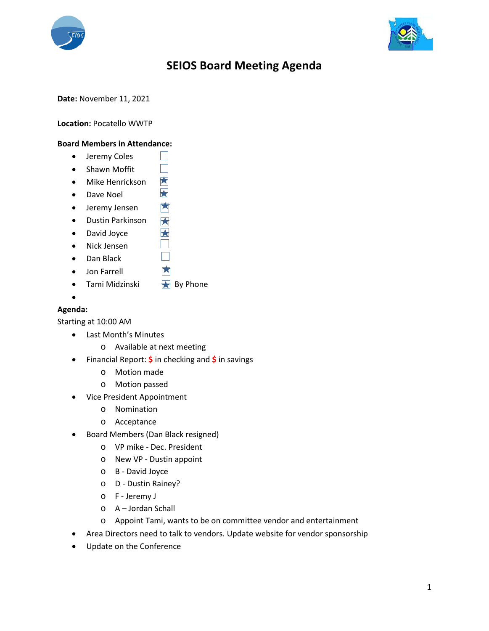



## **SEIOS Board Meeting Agenda**

**Date:** November 11, 2021

**Location:** Pocatello WWTP

## **Board Members in Attendance:**

- **•** Jeremy Coles
- $\Box$ • Shawn Moffit
- Mike Henrickson
- Dave Noel
- 内 Jeremy Jensen
- Dustin Parkinson 因
- David Joyce
- Nick Jensen
- Dan Black
- Jon Farrell
- Tami Midzinski  $\blacktriangleright$  By Phone
- $\bullet$

## **Agenda:**

Starting at 10:00 AM

- Last Month's Minutes
	- o Available at next meeting
- Financial Report: **\$** in checking and **\$** in savings

**Tall** 

因  $\blacktriangleright$ 

> $\blacktriangleright$ H  $\vert \ \ \vert$ 因

- o Motion made
- o Motion passed
- Vice President Appointment
	- o Nomination
	- o Acceptance
- Board Members (Dan Black resigned)
	- o VP mike Dec. President
	- o New VP Dustin appoint
	- o B David Joyce
	- o D Dustin Rainey?
	- o F Jeremy J
	- o A Jordan Schall
	- o Appoint Tami, wants to be on committee vendor and entertainment
- Area Directors need to talk to vendors. Update website for vendor sponsorship
- Update on the Conference